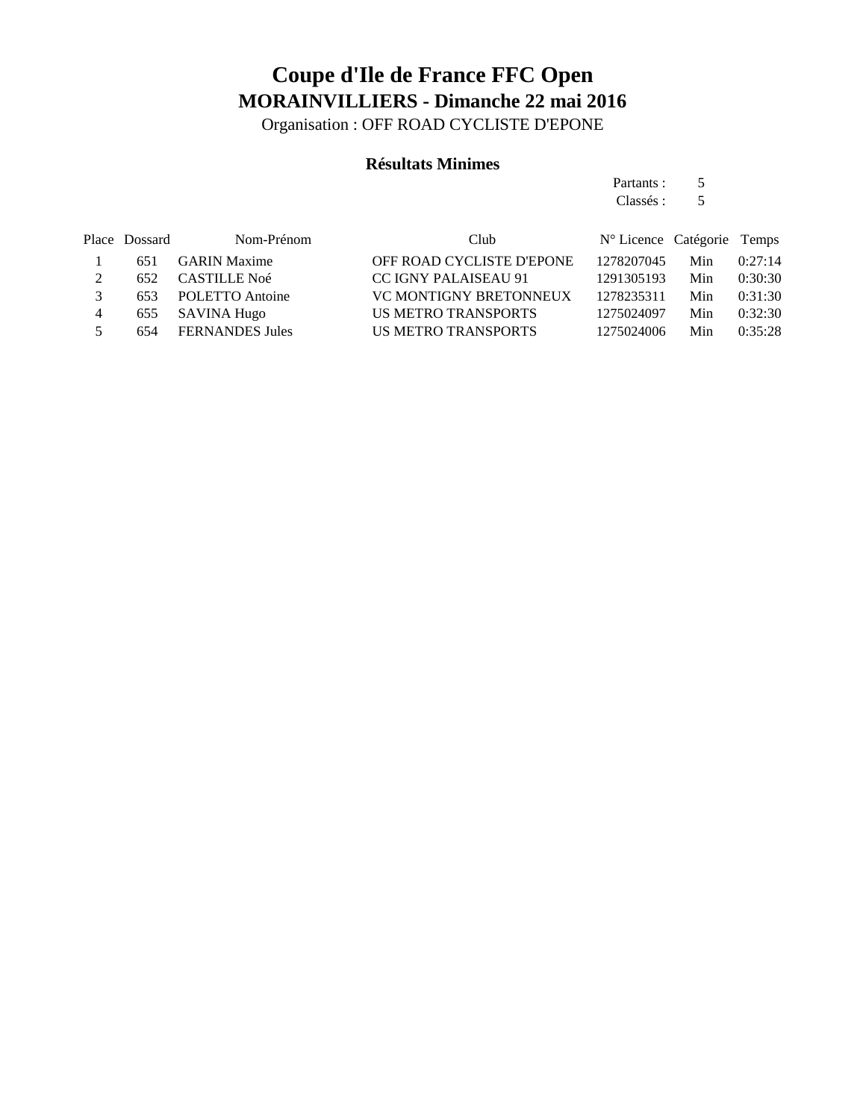Organisation : OFF ROAD CYCLISTE D'EPONE

#### **Résultats Minimes**

Partants : 5 Classés : 5

|   | Place Dossard | Nom-Prénom             | Club                          | N° Licence Catégorie Temps |     |         |
|---|---------------|------------------------|-------------------------------|----------------------------|-----|---------|
|   | 651           | <b>GARIN Maxime</b>    | OFF ROAD CYCLISTE D'EPONE     | 1278207045                 | Min | 0:27:14 |
|   | 652           | CASTILLE Noé           | <b>CC IGNY PALAISEAU 91</b>   | 1291305193                 | Min | 0:30:30 |
|   | 653           | POLETTO Antoine        | <b>VC MONTIGNY BRETONNEUX</b> | 1278235311                 | Min | 0:31:30 |
| 4 | 655           | SAVINA Hugo            | US METRO TRANSPORTS           | 1275024097                 | Min | 0:32:30 |
|   | 654           | <b>FERNANDES Jules</b> | US METRO TRANSPORTS           | 1275024006                 | Min | 0:35:28 |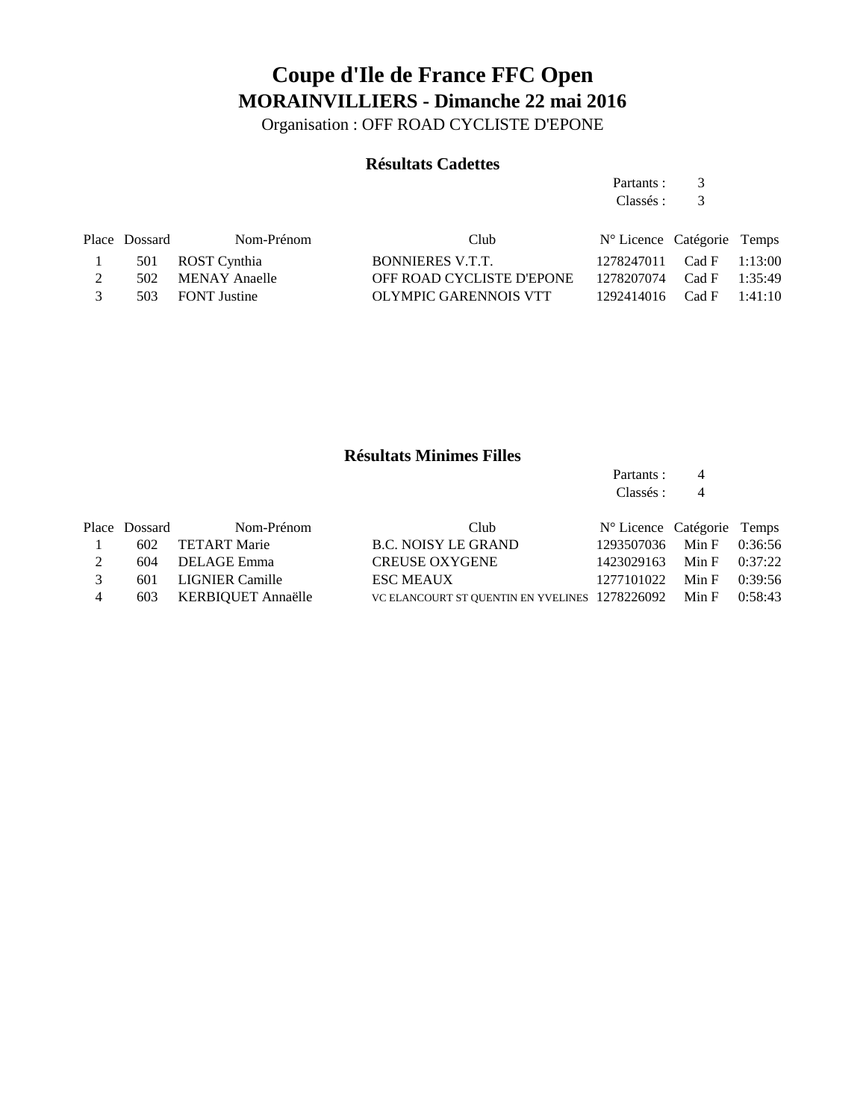Organisation : OFF ROAD CYCLISTE D'EPONE

### **Résultats Cadettes**

Partants : 3 Classés : 3

|               | Place Dossard | Nom-Prénom        | Club                      | N° Licence Catégorie Temps   |  |
|---------------|---------------|-------------------|---------------------------|------------------------------|--|
|               |               | 501 ROST Cynthia  | BONNIERES V.T.T.          | 1278247011 Cad F 1:13:00     |  |
|               |               | 502 MENAY Anaelle | OFF ROAD CYCLISTE D'EPONE | 1278207074 Cad F 1:35:49     |  |
| $\mathcal{R}$ |               | 503 FONT Justine  | OLYMPIC GARENNOIS VTT     | $1292414016$ Cad F $1:41:10$ |  |
|               |               |                   |                           |                              |  |

### **Résultats Minimes Filles**

Partants : 4 Classés : 4

|                | Place Dossard | Nom-Prénom             | Club                                                         | N° Licence Catégorie Temps |  |
|----------------|---------------|------------------------|--------------------------------------------------------------|----------------------------|--|
| $\sim$ 1       |               | 602 TETART Marie       | <b>B.C. NOISY LE GRAND</b>                                   | 1293507036 Min F 0:36:56   |  |
| $\overline{2}$ |               | 604 DELAGE Emma        | <b>CREUSE OXYGENE</b>                                        | 1423029163 Min F 0:37:22   |  |
| $\mathcal{R}$  |               | 601 LIGNIER Camille    | <b>ESC MEAUX</b>                                             | 1277101022 Min F 0:39:56   |  |
| $\overline{4}$ |               | 603 KERBIQUET Annaëlle | VC ELANCOURT ST QUENTIN EN YVELINES 1278226092 Min F 0:58:43 |                            |  |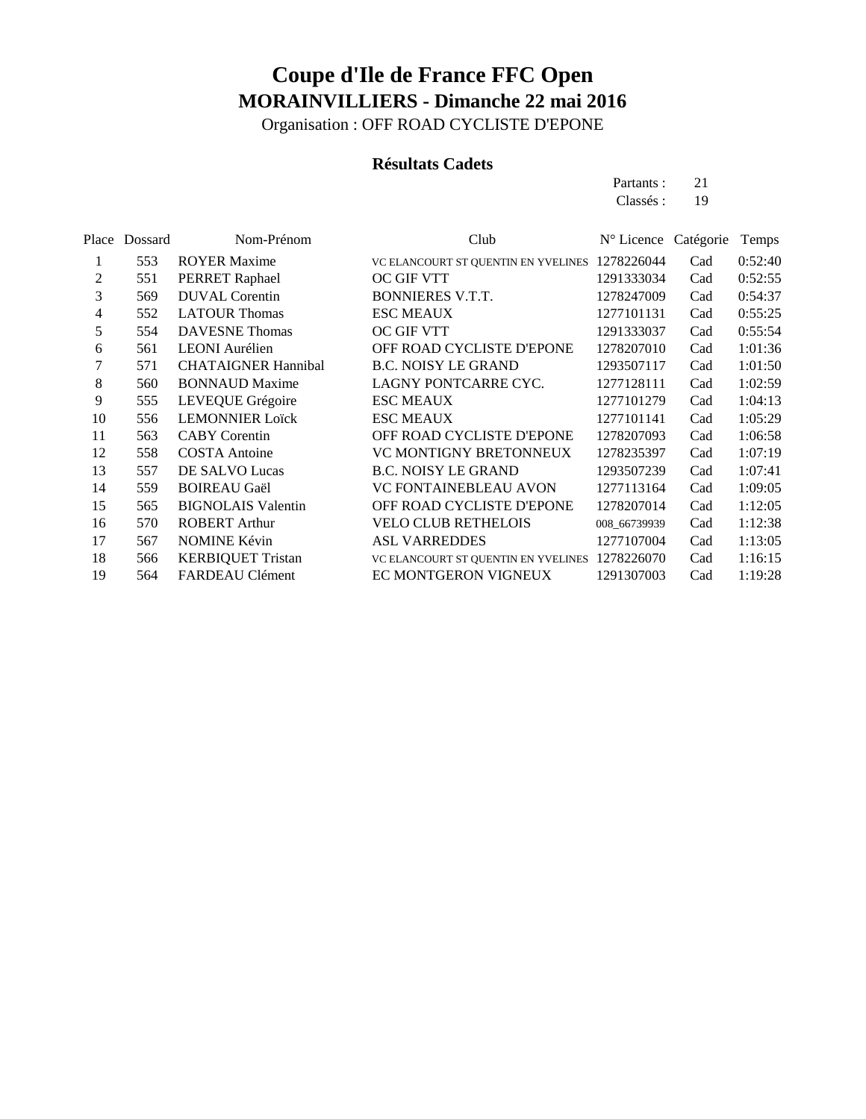Organisation : OFF ROAD CYCLISTE D'EPONE

#### **Résultats Cadets**

Partants : 21 Classés: 19

| Place | Dossard | Nom-Prénom                 | Club                                | N° Licence Catégorie |     | Temps   |
|-------|---------|----------------------------|-------------------------------------|----------------------|-----|---------|
| 1     | 553     | <b>ROYER Maxime</b>        | VC ELANCOURT ST QUENTIN EN YVELINES | 1278226044           | Cad | 0:52:40 |
| 2     | 551     | PERRET Raphael             | <b>OC GIF VTT</b>                   | 1291333034           | Cad | 0:52:55 |
| 3     | 569     | <b>DUVAL</b> Corentin      | <b>BONNIERES V.T.T.</b>             | 1278247009           | Cad | 0:54:37 |
| 4     | 552     | <b>LATOUR Thomas</b>       | <b>ESC MEAUX</b>                    | 1277101131           | Cad | 0:55:25 |
| 5     | 554     | <b>DAVESNE</b> Thomas      | OC GIF VTT                          | 1291333037           | Cad | 0:55:54 |
| 6     | 561     | <b>LEONI</b> Aurélien      | OFF ROAD CYCLISTE D'EPONE           | 1278207010           | Cad | 1:01:36 |
|       | 571     | <b>CHATAIGNER Hannibal</b> | <b>B.C. NOISY LE GRAND</b>          | 1293507117           | Cad | 1:01:50 |
| 8     | 560     | <b>BONNAUD Maxime</b>      | LAGNY PONTCARRE CYC.                | 1277128111           | Cad | 1:02:59 |
| 9     | 555     | LEVEQUE Grégoire           | <b>ESC MEAUX</b>                    | 1277101279           | Cad | 1:04:13 |
| 10    | 556     | <b>LEMONNIER Loïck</b>     | <b>ESC MEAUX</b>                    | 1277101141           | Cad | 1:05:29 |
| 11    | 563     | <b>CABY</b> Corentin       | OFF ROAD CYCLISTE D'EPONE           | 1278207093           | Cad | 1:06:58 |
| 12    | 558     | <b>COSTA</b> Antoine       | VC MONTIGNY BRETONNEUX              | 1278235397           | Cad | 1:07:19 |
| 13    | 557     | DE SALVO Lucas             | <b>B.C. NOISY LE GRAND</b>          | 1293507239           | Cad | 1:07:41 |
| 14    | 559     | <b>BOIREAU Gaël</b>        | VC FONTAINEBLEAU AVON               | 1277113164           | Cad | 1:09:05 |
| 15    | 565     | <b>BIGNOLAIS Valentin</b>  | OFF ROAD CYCLISTE D'EPONE           | 1278207014           | Cad | 1:12:05 |
| 16    | 570     | <b>ROBERT Arthur</b>       | <b>VELO CLUB RETHELOIS</b>          | 008 66739939         | Cad | 1:12:38 |
| 17    | 567     | <b>NOMINE Kévin</b>        | <b>ASL VARREDDES</b>                | 1277107004           | Cad | 1:13:05 |
| 18    | 566     | <b>KERBIQUET Tristan</b>   | VC ELANCOURT ST QUENTIN EN YVELINES | 1278226070           | Cad | 1:16:15 |
| 19    | 564     | FARDEAU Clément            | <b>EC MONTGERON VIGNEUX</b>         | 1291307003           | Cad | 1:19:28 |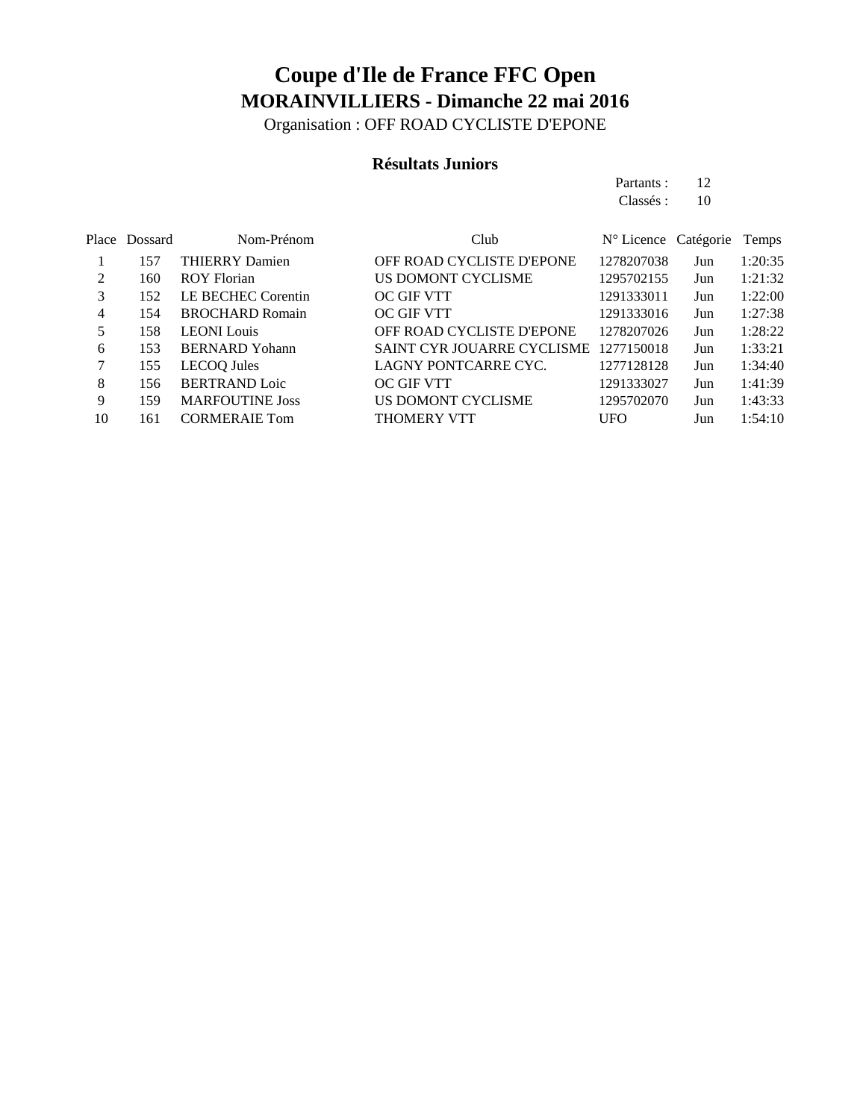Organisation : OFF ROAD CYCLISTE D'EPONE

#### **Résultats Juniors**

Partants : 12 Classés : 10

|    | Place Dossard | Nom-Prénom             | Club                       | N° Licence Catégorie |     | Temps   |
|----|---------------|------------------------|----------------------------|----------------------|-----|---------|
|    | 157           | <b>THIERRY Damien</b>  | OFF ROAD CYCLISTE D'EPONE  | 1278207038           | Jun | 1:20:35 |
|    | 160           | <b>ROY Florian</b>     | US DOMONT CYCLISME         | 1295702155           | Jun | 1:21:32 |
| 3  | 152           | LE BECHEC Corentin     | <b>OC GIF VTT</b>          | 1291333011           | Jun | 1:22:00 |
| 4  | 154           | <b>BROCHARD Romain</b> | OC GIF VTT                 | 1291333016           | Jun | 1:27:38 |
| 5  | 158           | <b>LEONI</b> Louis     | OFF ROAD CYCLISTE D'EPONE  | 1278207026           | Jun | 1:28:22 |
| 6  | 153           | <b>BERNARD</b> Yohann  | SAINT CYR JOUARRE CYCLISME | 1277150018           | Jun | 1:33:21 |
|    | 155           | <b>LECOQ</b> Jules     | LAGNY PONTCARRE CYC.       | 1277128128           | Jun | 1:34:40 |
| 8  | 156           | <b>BERTRAND Loic</b>   | OC GIF VTT                 | 1291333027           | Jun | 1:41:39 |
| 9  | 159           | <b>MARFOUTINE Joss</b> | US DOMONT CYCLISME         | 1295702070           | Jun | 1:43:33 |
| 10 | 161           | <b>CORMERAIE Tom</b>   | <b>THOMERY VTT</b>         | UFO                  | Jun | 1:54:10 |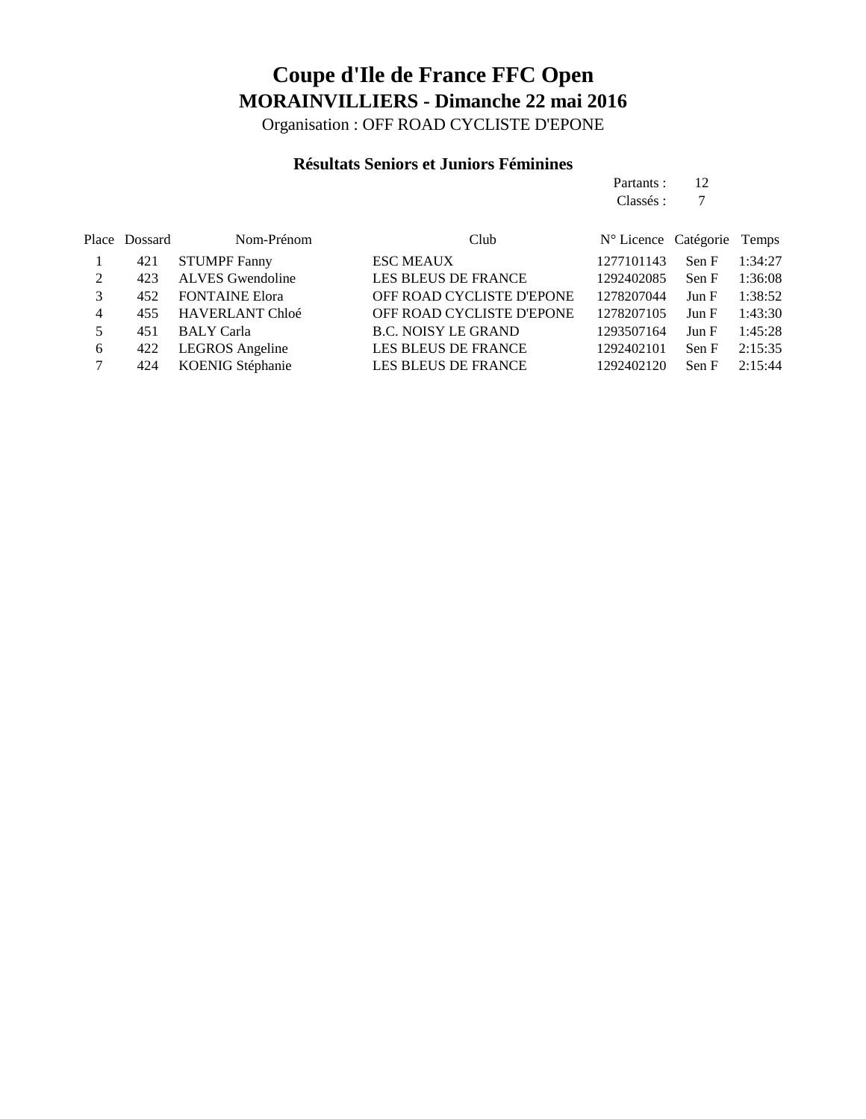Organisation : OFF ROAD CYCLISTE D'EPONE

### **Résultats Seniors et Juniors Féminines**

| Partants: 12 |  |
|--------------|--|
| Classés : 7  |  |
|              |  |

|   | Place Dossard | Nom-Prénom              | Club                       | N° Licence Catégorie Temps |       |         |
|---|---------------|-------------------------|----------------------------|----------------------------|-------|---------|
|   | 421           | <b>STUMPF Fanny</b>     | <b>ESC MEAUX</b>           | 1277101143                 | Sen F | 1:34:27 |
| 2 | 423           | <b>ALVES</b> Gwendoline | LES BLEUS DE FRANCE        | 1292402085                 | Sen F | 1:36:08 |
|   | 452           | <b>FONTAINE Elora</b>   | OFF ROAD CYCLISTE D'EPONE  | 1278207044                 | Jun F | 1:38:52 |
| 4 | 455           | <b>HAVERLANT Chloé</b>  | OFF ROAD CYCLISTE D'EPONE  | 1278207105                 | Jun F | 1:43:30 |
| 5 | 451           | <b>BALY</b> Carla       | <b>B.C. NOISY LE GRAND</b> | 1293507164                 | Jun F | 1:45:28 |
| 6 | 422           | <b>LEGROS</b> Angeline  | LES BLEUS DE FRANCE        | 1292402101                 | Sen F | 2:15:35 |
|   | 424           | KOENIG Stéphanie        | LES BLEUS DE FRANCE        | 1292402120                 | Sen F | 2:15:44 |
|   |               |                         |                            |                            |       |         |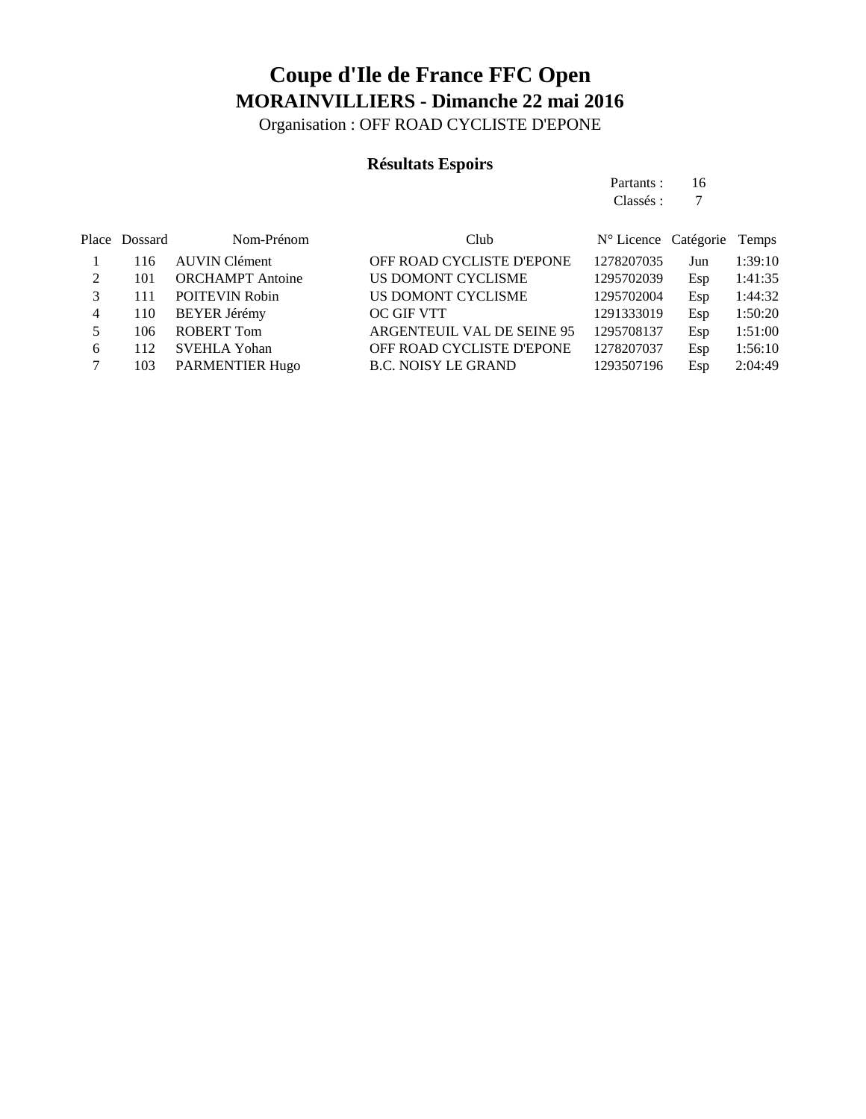Organisation : OFF ROAD CYCLISTE D'EPONE

### **Résultats Espoirs**

Partants : 16 Classés : 7

|   | Place Dossard | Nom-Prénom              | Club                       | N° Licence Catégorie Temps |     |         |
|---|---------------|-------------------------|----------------------------|----------------------------|-----|---------|
|   | 116           | <b>AUVIN</b> Clément    | OFF ROAD CYCLISTE D'EPONE  | 1278207035                 | Jun | 1:39:10 |
|   | 101           | <b>ORCHAMPT</b> Antoine | US DOMONT CYCLISME         | 1295702039                 | Esp | 1:41:35 |
|   | 111           | <b>POITEVIN Robin</b>   | US DOMONT CYCLISME         | 1295702004                 | Esp | 1:44:32 |
| 4 | 110           | <b>BEYER Jérémy</b>     | OC GIF VTT                 | 1291333019                 | Esp | 1:50:20 |
|   | 106           | <b>ROBERT Tom</b>       | ARGENTEUIL VAL DE SEINE 95 | 1295708137                 | Esp | 1:51:00 |
| 6 | 112           | <b>SVEHLA Yohan</b>     | OFF ROAD CYCLISTE D'EPONE  | 1278207037                 | Esp | 1:56:10 |
|   | 103           | <b>PARMENTIER Hugo</b>  | <b>B.C. NOISY LE GRAND</b> | 1293507196                 | Esp | 2:04:49 |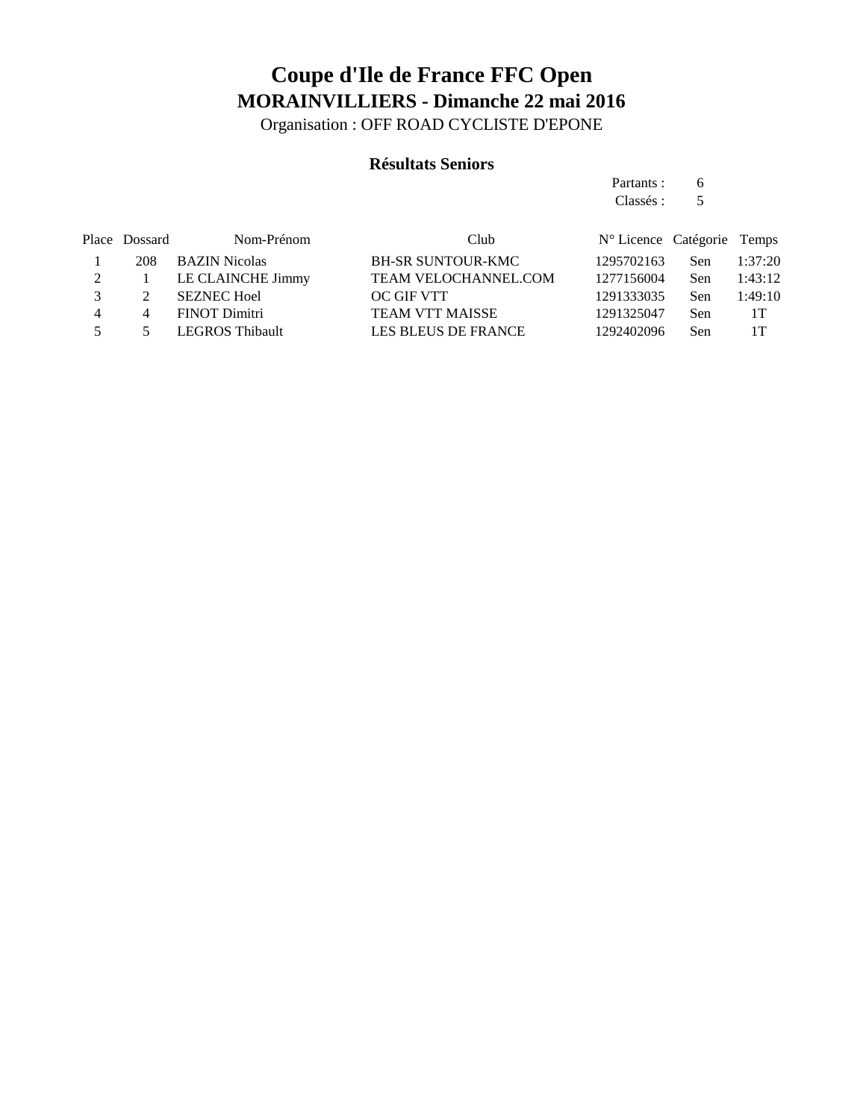Organisation : OFF ROAD CYCLISTE D'EPONE

#### **Résultats Seniors**

Partants : 6 Classés : 5

| Place Dossard  | Nom-Prénom    | Club                                                                                      |            |      |                            |
|----------------|---------------|-------------------------------------------------------------------------------------------|------------|------|----------------------------|
| 208            |               | <b>BH-SR SUNTOUR-KMC</b>                                                                  | 1295702163 | Sen. | 1:37:20                    |
|                |               | <b>TEAM VELOCHANNEL.COM</b>                                                               | 1277156004 | Sen. | 1:43:12                    |
|                |               | OC GIF VTT                                                                                | 1291333035 | Sen  | 1:49:10                    |
| $\overline{4}$ | FINOT Dimitri | <b>TEAM VTT MAISSE</b>                                                                    | 1291325047 | Sen. | 1T                         |
|                |               | LES BLEUS DE FRANCE                                                                       | 1292402096 | Sen. | 1T                         |
|                |               | <b>BAZIN Nicolas</b><br>LE CLAINCHE Jimmy<br><b>SEZNEC Hoel</b><br><b>LEGROS Thibault</b> |            |      | N° Licence Catégorie Temps |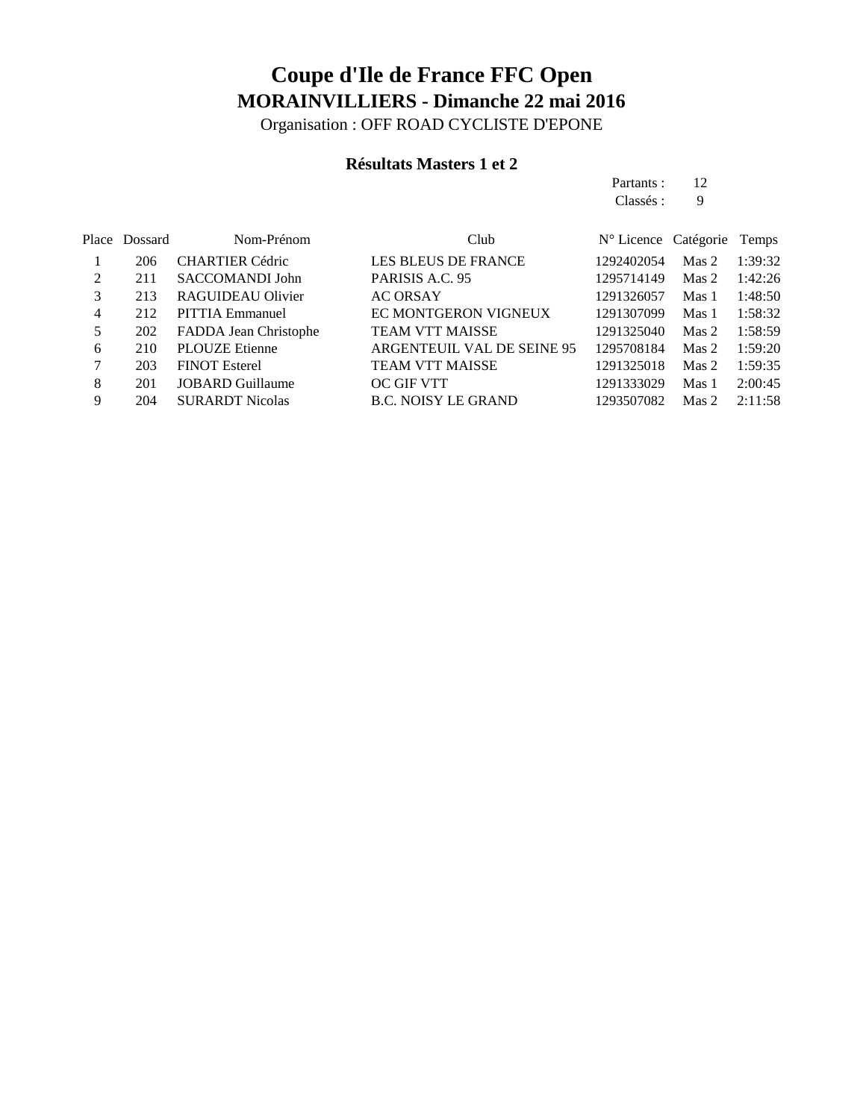Organisation : OFF ROAD CYCLISTE D'EPONE

### **Résultats Masters 1 et 2**

Partants : 12 Classés : 9

|   | Place Dossard | Nom-Prénom              | Club                        | N° Licence Catégorie Temps |                |         |
|---|---------------|-------------------------|-----------------------------|----------------------------|----------------|---------|
|   | 206           | <b>CHARTIER Cédric</b>  | <b>LES BLEUS DE FRANCE</b>  | 1292402054                 | Mas 2          | 1:39:32 |
| 2 | 211           | SACCOMANDI John         | PARISIS A.C. 95             | 1295714149                 | Mas 2          | 1:42:26 |
| 3 | 213           | RAGUIDEAU Olivier       | <b>AC ORSAY</b>             | 1291326057                 | Mas 1          | 1:48:50 |
| 4 | 212           | <b>PITTIA Emmanuel</b>  | <b>EC MONTGERON VIGNEUX</b> | 1291307099                 | Mas 1          | 1:58:32 |
| 5 | 202           | FADDA Jean Christophe   | <b>TEAM VTT MAISSE</b>      | 1291325040                 | Mas 2          | 1:58:59 |
| 6 | 210           | <b>PLOUZE</b> Etienne   | ARGENTEUIL VAL DE SEINE 95  | 1295708184                 | Mas 2          | 1:59:20 |
|   | 203           | <b>FINOT Esterel</b>    | <b>TEAM VTT MAISSE</b>      | 1291325018                 | $\n  Mass 2\n$ | 1:59:35 |
| 8 | 201           | <b>JOBARD Guillaume</b> | OC GIF VTT                  | 1291333029                 | Mas 1          | 2:00:45 |
| 9 | 204           | <b>SURARDT Nicolas</b>  | <b>B.C. NOISY LE GRAND</b>  | 1293507082                 | Mas 2          | 2:11:58 |
|   |               |                         |                             |                            |                |         |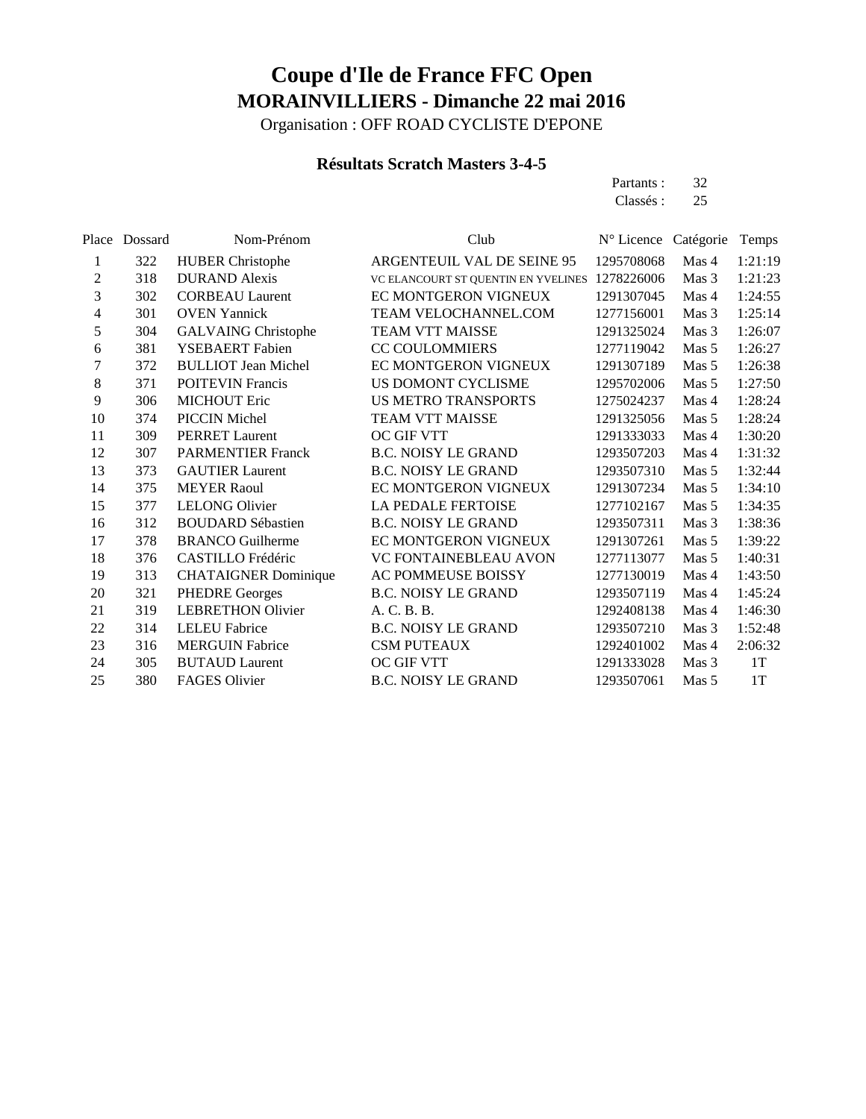Organisation : OFF ROAD CYCLISTE D'EPONE

### **Résultats Scratch Masters 3-4-5**

| Partants: | 32 |
|-----------|----|
| Classés : | 25 |

|    | Place Dossard | Nom-Prénom                  | Club                                | N° Licence | Catégorie | Temps   |
|----|---------------|-----------------------------|-------------------------------------|------------|-----------|---------|
| 1  | 322           | <b>HUBER Christophe</b>     | ARGENTEUIL VAL DE SEINE 95          | 1295708068 | Mas 4     | 1:21:19 |
| 2  | 318           | <b>DURAND</b> Alexis        | VC ELANCOURT ST QUENTIN EN YVELINES | 1278226006 | Mas 3     | 1:21:23 |
| 3  | 302           | <b>CORBEAU Laurent</b>      | EC MONTGERON VIGNEUX                | 1291307045 | Mas 4     | 1:24:55 |
| 4  | 301           | <b>OVEN Yannick</b>         | TEAM VELOCHANNEL.COM                | 1277156001 | Mas 3     | 1:25:14 |
| 5  | 304           | <b>GALVAING Christophe</b>  | TEAM VTT MAISSE                     | 1291325024 | Mas 3     | 1:26:07 |
| 6  | 381           | YSEBAERT Fabien             | <b>CC COULOMMIERS</b>               | 1277119042 | Mas 5     | 1:26:27 |
| 7  | 372           | <b>BULLIOT Jean Michel</b>  | EC MONTGERON VIGNEUX                | 1291307189 | Mas 5     | 1:26:38 |
| 8  | 371           | <b>POITEVIN Francis</b>     | US DOMONT CYCLISME                  | 1295702006 | Mas 5     | 1:27:50 |
| 9  | 306           | <b>MICHOUT Eric</b>         | <b>US METRO TRANSPORTS</b>          | 1275024237 | Mas 4     | 1:28:24 |
| 10 | 374           | <b>PICCIN Michel</b>        | <b>TEAM VTT MAISSE</b>              | 1291325056 | Mas 5     | 1:28:24 |
| 11 | 309           | <b>PERRET Laurent</b>       | OC GIF VTT                          | 1291333033 | Mas 4     | 1:30:20 |
| 12 | 307           | <b>PARMENTIER Franck</b>    | <b>B.C. NOISY LE GRAND</b>          | 1293507203 | Mas 4     | 1:31:32 |
| 13 | 373           | <b>GAUTIER Laurent</b>      | <b>B.C. NOISY LE GRAND</b>          | 1293507310 | Mas 5     | 1:32:44 |
| 14 | 375           | <b>MEYER Raoul</b>          | EC MONTGERON VIGNEUX                | 1291307234 | Mas 5     | 1:34:10 |
| 15 | 377           | <b>LELONG Olivier</b>       | <b>LA PEDALE FERTOISE</b>           | 1277102167 | Mas 5     | 1:34:35 |
| 16 | 312           | <b>BOUDARD Sébastien</b>    | <b>B.C. NOISY LE GRAND</b>          | 1293507311 | Mas 3     | 1:38:36 |
| 17 | 378           | <b>BRANCO</b> Guilherme     | <b>EC MONTGERON VIGNEUX</b>         | 1291307261 | Mas 5     | 1:39:22 |
| 18 | 376           | CASTILLO Frédéric           | <b>VC FONTAINEBLEAU AVON</b>        | 1277113077 | Mas 5     | 1:40:31 |
| 19 | 313           | <b>CHATAIGNER Dominique</b> | <b>AC POMMEUSE BOISSY</b>           | 1277130019 | Mas 4     | 1:43:50 |
| 20 | 321           | <b>PHEDRE Georges</b>       | <b>B.C. NOISY LE GRAND</b>          | 1293507119 | Mas 4     | 1:45:24 |
| 21 | 319           | <b>LEBRETHON Olivier</b>    | A. C. B. B.                         | 1292408138 | Mas 4     | 1:46:30 |
| 22 | 314           | <b>LELEU Fabrice</b>        | <b>B.C. NOISY LE GRAND</b>          | 1293507210 | Mas 3     | 1:52:48 |
| 23 | 316           | <b>MERGUIN Fabrice</b>      | <b>CSM PUTEAUX</b>                  | 1292401002 | Mas 4     | 2:06:32 |
| 24 | 305           | <b>BUTAUD Laurent</b>       | <b>OC GIF VTT</b>                   | 1291333028 | Mas 3     | 1T      |
| 25 | 380           | <b>FAGES Olivier</b>        | <b>B.C. NOISY LE GRAND</b>          | 1293507061 | Mas 5     | 1T      |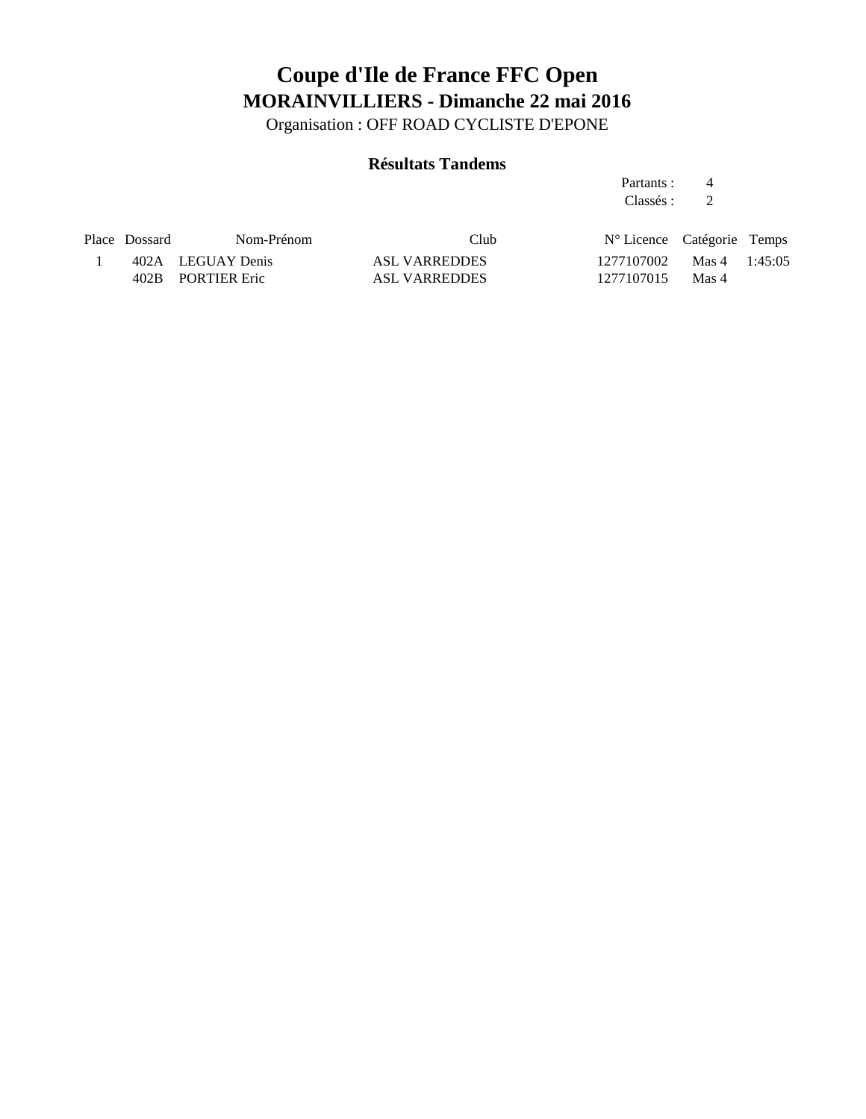Organisation : OFF ROAD CYCLISTE D'EPONE

### **Résultats Tandems**

Partants : 4 Classés : 2

| Place Dossard | Nom-Prénom        | Club          | $N^{\circ}$ Licence Catégorie Temps |  |
|---------------|-------------------|---------------|-------------------------------------|--|
|               | 402A LEGUAY Denis | ASL VARREDDES | $1277107002$ Mas $4$ 1:45:05        |  |
|               | 402B PORTIER Eric | ASL VARREDDES | 1277107015 Mas 4                    |  |